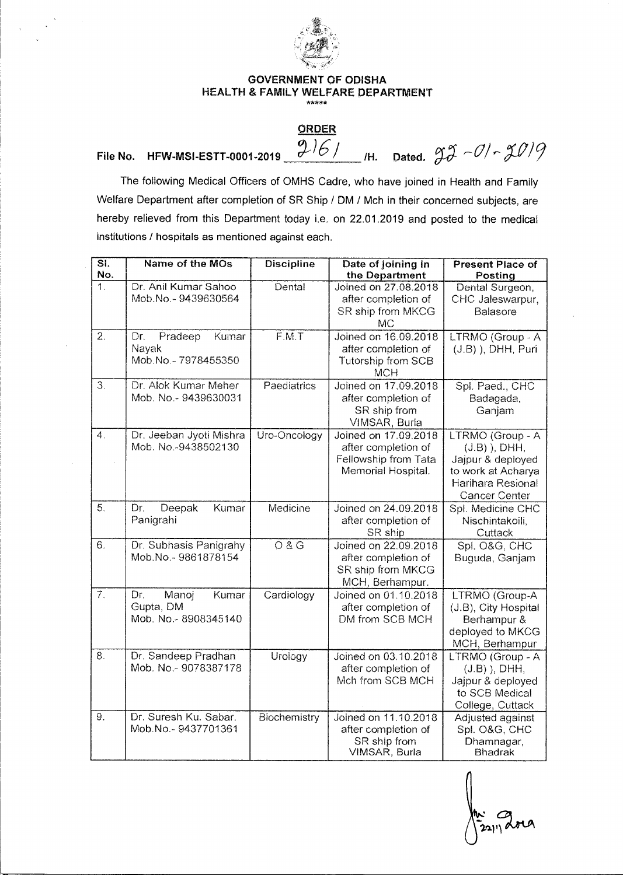

## **GOVERNMENT OF ODISHA HEALTH & FAMILY WELFARE DEPARTMENT**

## **ORDER**

## File No. HFW-MSI-ESTT-0001-2019  $\frac{9.161}{20.61}$  /H. Dated.  $93 - 01 - 3019$

The following Medical Officers of OMHS Cadre, who have joined in Health and Family Welfare Department after completion of SR Ship / DM / Mch in their concerned subjects, are hereby relieved from this Department today i.e. on 22.01.2019 and posted to the medical institutions / hospitals as mentioned against each.

| $\overline{\mathsf{SI}}$ .<br>No. | Name of the MOs                                           | <b>Discipline</b>   | Date of joining in<br>the Department                                                      | <b>Present Place of</b><br>Posting                                                                                          |
|-----------------------------------|-----------------------------------------------------------|---------------------|-------------------------------------------------------------------------------------------|-----------------------------------------------------------------------------------------------------------------------------|
| $\overline{1}$ .                  | Dr. Anil Kumar Sahoo<br>Mob.No.-9439630564                | Dental              | Joined on 27.08.2018<br>after completion of<br>SR ship from MKCG<br>МC                    | Dental Surgeon,<br>CHC Jaleswarpur,<br>Balasore                                                                             |
| $\overline{2}$ .                  | Dr.<br>Pradeep<br>Kumar<br>Nayak<br>Mob.No.-7978455350    | $\overline{F.M. T}$ | Joined on 16.09.2018<br>after completion of<br>Tutorship from SCB<br>MCH                  | LTRMO (Group - A<br>$(J.B)$ ), DHH, Puri                                                                                    |
| 3.                                | Dr. Alok Kumar Meher<br>Mob. No.- 9439630031              | Paediatrics         | Joined on 17.09.2018<br>after completion of<br>SR ship from<br>VIMSAR, Burla              | Spl. Paed., CHC<br>Badagada,<br>Ganjam                                                                                      |
| 4.                                | Dr. Jeeban Jyoti Mishra<br>Mob. No.-9438502130            | Uro-Oncology        | Joined on 17.09.2018<br>after completion of<br>Fellowship from Tata<br>Memorial Hospital. | LTRMO (Group - A<br>$(J.B)$ ), DHH,<br>Jajpur & deployed<br>to work at Acharya<br>Harihara Resional<br><b>Cancer Center</b> |
| 5.                                | Deepak<br>Kumar<br>Dr.<br>Panigrahi                       | Medicine            | Joined on 24.09.2018<br>after completion of<br>SR ship                                    | Spl. Medicine CHC<br>Nischintakoili,<br>Cuttack                                                                             |
| 6.                                | Dr. Subhasis Panigrahy<br>Mob.No.-9861878154              | O & G               | Joined on 22,09,2018<br>after completion of<br>SR ship from MKCG<br>MCH, Berhampur.       | Spl. O&G. CHC<br>Buguda, Ganjam                                                                                             |
| $\overline{7}$ .                  | Manoj<br>Dr.<br>Kumar<br>Gupta, DM<br>Mob. No.-8908345140 | Cardiology          | Joined on 01.10.2018<br>after completion of<br>DM from SCB MCH                            | LTRMO (Group-A<br>(J.B), City Hospital<br>Berhampur &<br>deployed to MKCG<br>MCH, Berhampur                                 |
| 8.                                | Dr. Sandeep Pradhan<br>Mob. No.- 9078387178               | Urology             | Joined on 03.10.2018<br>after completion of<br>Mch from SCB MCH                           | LTRMO (Group - A<br>$(J.B)$ ), DHH,<br>Jajpur & deployed<br>to SCB Medical<br>College, Cuttack                              |
| $\overline{9}$ .                  | Dr. Suresh Ku. Sabar.<br>Mob.No.-9437701361               | Biochemistry        | Joined on 11.10.2018<br>after completion of<br>SR ship from<br>VIMSAR, Burla              | Adjusted against<br>Spl. O&G, CHC<br>Dhamnagar,<br><b>Bhadrak</b>                                                           |

 $\sum_{i=1}^{n}$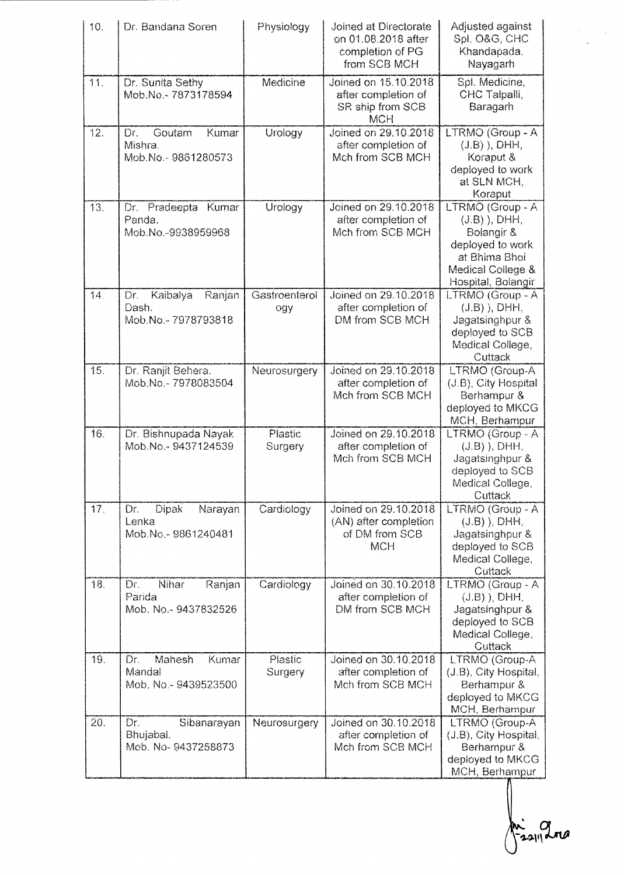| 10.               | Dr. Bandana Soren                                             | Physiology           | Joined at Directorate<br>on 01.08.2018 after<br>completion of PG<br>from SCB MCH | Adjusted against<br>Spl. O&G, CHC<br>Khandapada.<br>Nayagarh                                                                     |
|-------------------|---------------------------------------------------------------|----------------------|----------------------------------------------------------------------------------|----------------------------------------------------------------------------------------------------------------------------------|
| 11.               | Dr. Sunita Sethy<br>Mob.No.- 7873178594                       | Medicine             | Joined on 15.10.2018<br>after completion of<br>SR ship from SCB<br><b>MCH</b>    | Spl. Medicine,<br>CHC Talpalli,<br>Baragarh                                                                                      |
| 12.               | Goutam<br>Kumar<br>Dr.<br>Mishra.<br>Mob.No.-9861280573       | Urology              | Joined on 29.10.2018<br>after completion of<br>Mch from SCB MCH                  | LTRMO (Group - A<br>$(J.B)$ ), DHH,<br>Koraput &<br>deployed to work<br>at SLN MCH,<br>Koraput                                   |
| 13.               | Pradeepta Kumar<br>Dr.<br>Panda.<br>Mob.No.-9938959968        | Urology              | Joined on 29.10.2018<br>after completion of<br>Mch from SCB MCH                  | LTRMO (Group - A<br>$(J.B)$ , DHH,<br>Bolangir &<br>deployed to work<br>at Bhima Bhoi<br>Medical College &<br>Hospital, Bolangir |
| 14.               | Kaibalya<br>Dr.<br>Ranjan<br>Dash.<br>Mob.No.-7978793818      | Gastroenterol<br>ogy | Joined on 29.10.2018<br>after completion of<br>DM from SCB MCH                   | LTRMO (Group - A<br>$(J.B)$ ), DHH,<br>Jagatsinghpur &<br>deployed to SCB<br>Medical College,<br>Cuttack                         |
| 15.               | Dr. Ranjit Behera.<br>Mob.No.-7978083504                      | Neurosurgery         | Joined on 29.10.2018<br>after completion of<br>Mch from SCB MCH                  | LTRMO (Group-A<br>(J.B), City Hospital<br>Berhampur &<br>deployed to MKCG<br>MCH, Berhampur                                      |
| 16.               | Dr. Bishnupada Nayak<br>Mob.No.-9437124539                    | Plastic<br>Surgery   | Joined on 29.10.2018<br>after completion of<br>Mch from SCB MCH                  | LTRMO (Group - A<br>$(J.B)$ ), DHH,<br>Jagatsinghpur &<br>deployed to SCB<br>Medical College,<br>Cuttack                         |
| $\overline{17}$ . | <b>Dipak</b><br>Narayan<br>Dr.<br>Lenka<br>Mob.No.-9861240481 | Cardiology           | Joined on 29.10.2018<br>(AN) after completion<br>of DM from SCB<br><b>MCH</b>    | LTRMO (Group - A<br>$(J.B)$ ), DHH,<br>Jagatsinghpur &<br>deployed to SCB<br>Medical College,<br>Cuttack                         |
| 18.               | Nihar<br>Ranjan<br>Dr.<br>Parida<br>Mob. No.- 9437832526      | Cardiology           | Joined on 30.10.2018<br>after completion of<br>DM from SCB MCH                   | LTRMO (Group - A<br>$(J.B)$ ), DHH,<br>Jagatsinghpur &<br>deployed to SCB<br>Medical College,<br>Cuttack                         |
| 19.               | Mahesh<br>Kumar<br>Dr.<br>Mandal<br>Mob. No.- 9439523500      | Plastic<br>Surgery   | Joined on 30.10.2018<br>after completion of<br>Mch from SCB MCH                  | LTRMO (Group-A<br>(J.B), City Hospital,<br>Berhampur &<br>deployed to MKCG<br>MCH, Berhampur                                     |
| 20.               | Dr.<br>Sibanarayan<br>Bhujabal.<br>Mob. No-9437258873         | Neurosurgery         | Joined on 30.10.2018<br>after completion of<br>Mch from SCB MCH                  | LTRMO (Group-A<br>(J.B), City Hospital,<br>Berhampur &<br>deployed to MKCG<br>MCH, Berhampur                                     |

-22112 and

 $\label{eq:2.1} \begin{array}{l} \mathcal{A}(\mathbf{r})=\mathcal{A}(\mathbf{r})\\ \mathcal{A}(\mathbf{r})=\mathcal{A}(\mathbf{r}) \end{array}$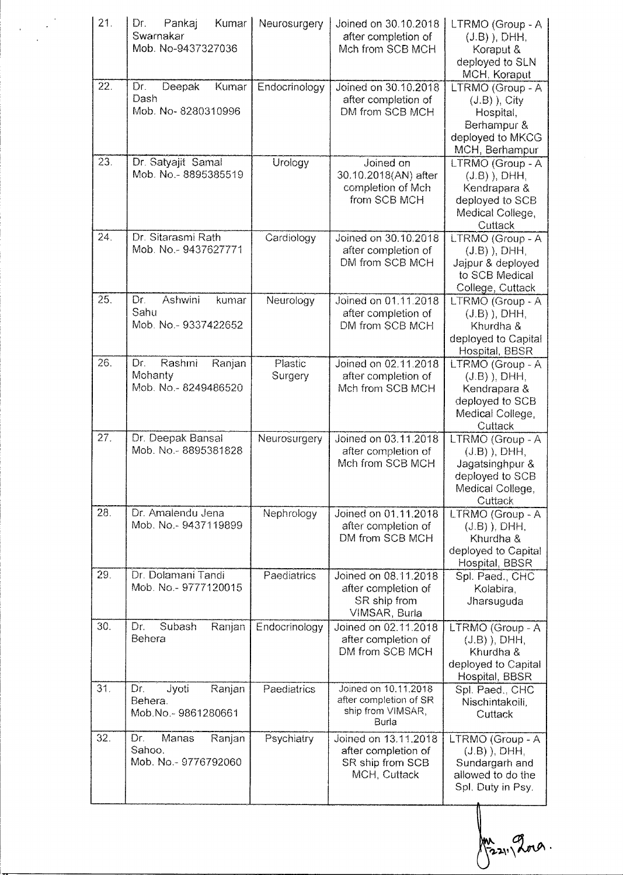| 21. | Dr.<br>Kumar<br>Pankaj<br>Swarnakar<br>Mob. No-9437327036 | Neurosurgery       | Joined on 30.10.2018<br>after completion of<br>Mch from SCB MCH                 | LTRMO (Group - A<br>$(J.B)$ , DHH,<br>Koraput &<br>deployed to SLN<br>MCH, Koraput                       |
|-----|-----------------------------------------------------------|--------------------|---------------------------------------------------------------------------------|----------------------------------------------------------------------------------------------------------|
| 22. | Deepak<br>Dr.<br>Kumar<br>Dash<br>Mob. No-8280310996      | Endocrinology      | Joined on 30.10.2018<br>after completion of<br>DM from SCB MCH                  | LTRMO (Group - A<br>$(J.B)$ ), City<br>Hospital,<br>Berhampur &<br>deployed to MKCG<br>MCH, Berhampur    |
| 23. | Dr. Satyajit Samal<br>Mob. No.-8895385519                 | Urology            | Joined on<br>30.10.2018(AN) after<br>completion of Mch<br>from SCB MCH          | LTRMO (Group - A<br>$(J.B)$ ), DHH,<br>Kendrapara &<br>deployed to SCB<br>Medical College,<br>Cuttack    |
| 24. | Dr. Sitarasmi Rath<br>Mob. No.-9437627771                 | Cardiology         | Joined on 30.10.2018<br>after completion of<br>DM from SCB MCH                  | LTRMO (Group - A<br>$(J.B)$ , DHH,<br>Jajpur & deployed<br>to SCB Medical<br>College, Cuttack            |
| 25. | Ashwini<br>Dr.<br>kumar<br>Sahu<br>Mob. No.- 9337422652   | Neurology          | Joined on 01.11.2018<br>after completion of<br>DM from SCB MCH                  | LTRMO (Group - A<br>$(J.B)$ ), DHH,<br>Khurdha &<br>deployed to Capital<br>Hospital, BBSR                |
| 26. | Rashmi<br>Dr.<br>Ranjan<br>Mohanty<br>Mob. No.-8249486520 | Plastic<br>Surgery | Joined on 02.11.2018<br>after completion of<br>Mch from SCB MCH                 | LTRMO (Group - A<br>$(J.B)$ ), DHH,<br>Kendrapara &<br>deployed to SCB<br>Medical College,<br>Cuttack    |
| 27. | Dr. Deepak Bansal<br>Mob. No.-8895381828                  | Neurosurgery       | Joined on 03.11.2018<br>after completion of<br>Mch from SCB MCH                 | LTRMO (Group - A<br>$(J.B)$ ), DHH,<br>Jagatsinghpur &<br>deployed to SCB<br>Medical College,<br>Cuttack |
| 28. | Dr. Amalendu Jena<br>Mob. No.- 9437119899                 | Nephrology         | Joined on 01.11.2018<br>after completion of<br>DM from SCB MCH                  | LTRMO (Group - A<br>$(J.B)$ , DHH,<br>Khurdha &<br>deployed to Capital<br>Hospital, BBSR                 |
| 29. | Dr. Dolamani Tandi<br>Mob. No.- 9777120015                | Paediatrics        | Joined on 08.11.2018<br>after completion of<br>SR ship from<br>VIMSAR, Burla    | Spl. Paed., CHC<br>Kolabira,<br>Jharsuguda                                                               |
| 30. | Subash<br>Ranjan<br>Dr.<br>Behera                         | Endocrinology      | Joined on 02.11.2018<br>after completion of<br>DM from SCB MCH                  | LTRMO (Group - A<br>$(J.B)$ , DHH,<br>Khurdha &<br>deployed to Capital<br>Hospital, BBSR                 |
| 31. | Dr.<br>Jyoti<br>Ranjan<br>Behera.<br>Mob.No.-9861280661   | Paediatrics        | Joined on 10.11.2018<br>after completion of SR<br>ship from VIMSAR,<br>Burla    | Spl. Paed., CHC<br>Nischintakoili,<br>Cuttack                                                            |
| 32. | Manas<br>Dr.<br>Ranjan<br>Sahoo.<br>Mob. No.-9776792060   | Psychiatry         | Joined on 13.11.2018<br>after completion of<br>SR ship from SCB<br>MCH, Cuttack | LTRMO (Group - A<br>$(J.B)$ ), DHH,<br>Sundargarh and<br>allowed to do the<br>Spl. Duty in Psy.          |

Mrs 211 2019.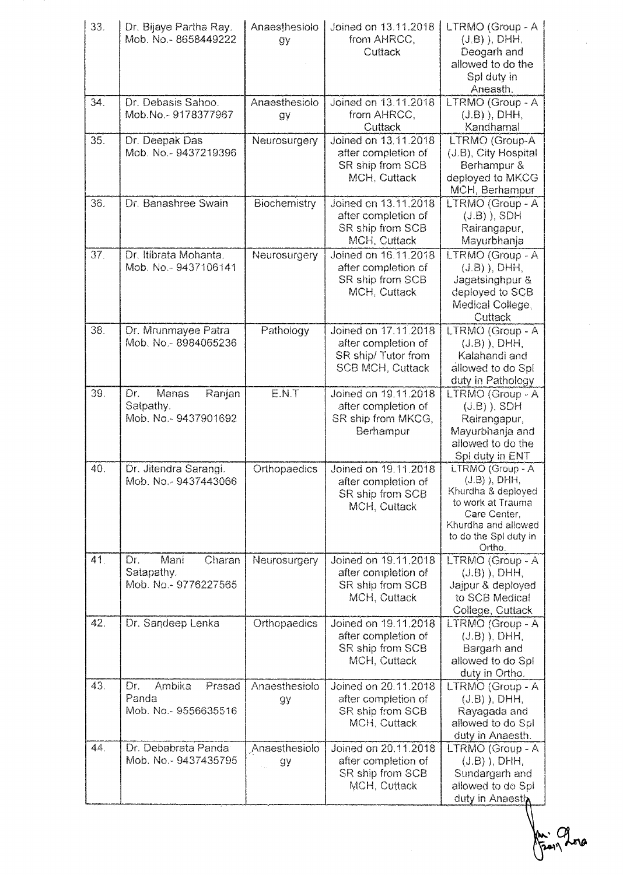| 33. | Dr. Bijaye Partha Ray.<br>Mob. No.-8658449222              | Anaesthesiolo<br>gу | Joined on 13.11.2018<br>from AHRCC,<br>Cuttack                                               | LTRMO (Group - A<br>$(J, B)$ ), DHH,<br>Deogarh and<br>allowed to do the<br>Spl duty in<br>Aneasth.                                                     |
|-----|------------------------------------------------------------|---------------------|----------------------------------------------------------------------------------------------|---------------------------------------------------------------------------------------------------------------------------------------------------------|
| 34. | Dr. Debasis Sahoo.<br>Mob.No.-9178377967                   | Anaesthesiolo<br>gу | Joined on 13.11.2018<br>from AHRCC,<br>Cuttack                                               | LTRMO (Group - A<br>$(J.B)$ ), DHH,<br>Kandhamal                                                                                                        |
| 35. | Dr. Deepak Das<br>Mob. No.-9437219396                      | Neurosurgery        | Joined on 13.11.2018<br>after completion of<br>SR ship from SCB<br>MCH, Cuttack              | LTRMO (Group-A<br>(J.B), City Hospital<br>Berhampur &<br>deployed to MKCG<br>MCH, Berhampur                                                             |
| 36. | Dr. Banashree Swain                                        | Biochemistry        | Joined on 13.11.2018<br>after completion of<br>SR ship from SCB<br>MCH, Cuttack              | LTRMO (Group - A<br>$(J.B)$ ), SDH<br>Rairangapur,<br>Mayurbhanja                                                                                       |
| 37. | Dr. Itibrata Mohanta.<br>Mob. No.-9437106141               | Neurosurgery        | Joined on 16.11.2018<br>after completion of<br>SR ship from SCB<br>MCH, Cuttack              | LTRMO (Group - A<br>$(J.B)$ , DHH,<br>Jagatsinghpur &<br>deployed to SCB<br>Medical College,<br>Cuttack                                                 |
| 38. | Dr. Mrunmayee Patra<br>Mob. No.-8984065236                 | Pathology           | Joined on 17.11.2018<br>after completion of<br>SR ship/Tutor from<br><b>SCB MCH, Cuttack</b> | LTRMO (Group - A<br>$(J.B)$ ), DHH,<br>Kalahandi and<br>allowed to do Spl<br>duty in Pathology                                                          |
| 39. | Dr.<br>Manas<br>Ranjan<br>Satpathy.<br>Mob. No.-9437901692 | E.N.T               | Joined on 19.11.2018<br>after completion of<br>SR ship from MKCG,<br>Berhampur               | LTRMO (Group - A<br>$(J.B)$ , SDH<br>Rairangapur,<br>Mayurbhanja and<br>allowed to do the<br>Spl duty in ENT                                            |
| 40. | Dr. Jitendra Sarangi.<br>Mob. No.-9437443066               | Orthopaedics        | Joined on 19.11.2018<br>after completion of<br>SR ship from SCB<br>MCH, Cuttack              | LTRMO (Group - A<br>$(J.B)$ , DHH,<br>Khurdha & deployed<br>to work at Trauma<br>Care Center,<br>Khurdha and allowed<br>to do the Spl duty in<br>Ortho. |
| 41. | Mani<br>Charan<br>Dr.<br>Satapathy.<br>Mob. No.-9776227565 | Neurosurgery        | Joined on 19.11.2018<br>after completion of<br>SR ship from SCB<br>MCH, Cuttack              | LTRMO (Group - A<br>$(J.B)$ , DHH,<br>Jajpur & deployed<br>to SCB Medical<br>College, Cuttack                                                           |
| 42. | Dr. Sandeep Lenka                                          | Orthopaedics        | Joined on 19.11.2018<br>after completion of<br>SR ship from SCB<br>MCH, Cuttack              | LTRMO (Group - A<br>$(J.B)$ , DHH,<br>Bargarh and<br>allowed to do Spl<br>duty in Ortho.                                                                |
| 43. | Ambika<br>Prasad<br>Dr.<br>Panda<br>Mob. No.-9556635516    | Anaesthesiolo<br>gу | Joined on 20.11.2018<br>after completion of<br>SR ship from SCB<br>MCH, Cuttack              | LTRMO (Group - A<br>$(J.B)$ ), DHH,<br>Rayagada and<br>allowed to do Spl<br>duty in Anaesth.                                                            |
| 44. | Dr. Debabrata Panda<br>Mob. No.- 9437435795                | Anaesthesiolo<br>gу | Joined on 20.11.2018<br>after completion of<br>SR ship from SCB<br>MCH, Cuttack              | LTRMO (Group - A<br>$(J.B)$ , DHH,<br>Sundargarh and<br>allowed to do Spl<br>duty in Anaesth                                                            |

-14:0  $\cdot$  Cq.

Ŷ.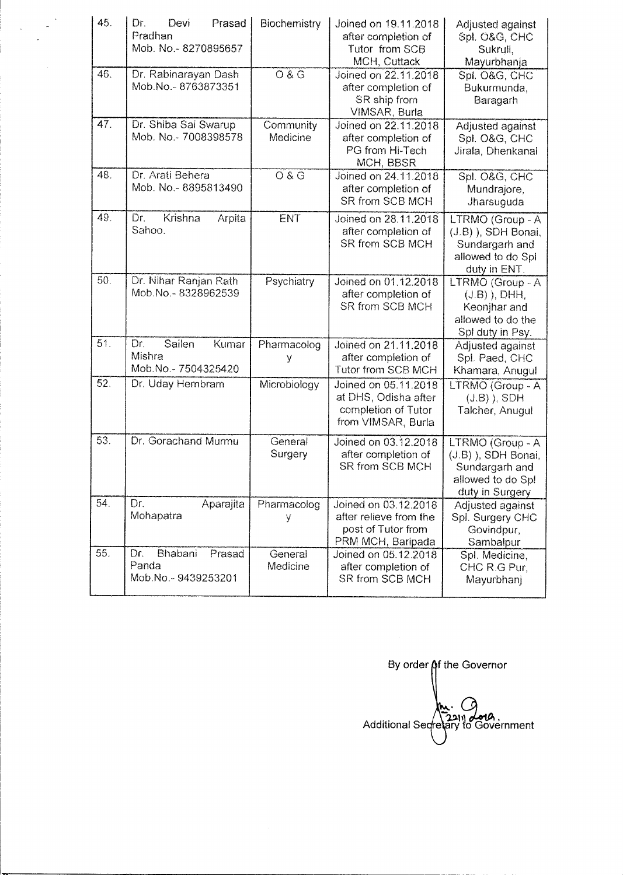| 45. | Dr.<br>Devi<br>Prasad<br>Pradhan<br>Mob. No.-8270895657 | Biochemistry          | Joined on 19.11.2018<br>after completion of<br>Tutor from SCB<br>MCH, Cuttack             | Adjusted against<br>Spl. O&G, CHC<br>Sukrull,<br>Mayurbhanja                                      |
|-----|---------------------------------------------------------|-----------------------|-------------------------------------------------------------------------------------------|---------------------------------------------------------------------------------------------------|
| 46. | Dr. Rabinarayan Dash<br>Mob.No.-8763873351              | 08G                   | Joined on 22.11.2018<br>after completion of<br>SR ship from<br>VIMSAR, Burla              | Spl. O&G, CHC<br>Bukurmunda,<br>Baragarh                                                          |
| 47. | Dr. Shiba Sai Swarup<br>Mob. No.- 7008398578            | Community<br>Medicine | Joined on 22.11.2018<br>after completion of<br>PG from Hi-Tech<br>MCH, BBSR               | Adjusted against<br>Spl. O&G, CHC<br>Jirala, Dhenkanal                                            |
| 48. | Dr. Arati Behera<br>Mob. No.-8895813490                 | O & G                 | Joined on 24.11.2018<br>after completion of<br>SR from SCB MCH                            | Spl. O&G, CHC<br>Mundrajore,<br>Jharsuguda                                                        |
| 49. | Krishna<br>Dr.<br>Arpita<br>Sahoo.                      | ENT                   | Joined on 28.11.2018<br>after completion of<br>SR from SCB MCH                            | LTRMO (Group - A<br>(J.B)), SDH Bonai,<br>Sundargarh and<br>allowed to do Spi<br>duty in ENT.     |
| 50. | Dr. Nihar Ranjan Rath<br>Mob.No.-8328962539             | Psychiatry            | Joined on 01.12.2018<br>after completion of<br>SR from SCB MCH                            | LTRMO (Group - A<br>$(J.B)$ , DHH,<br>Keonjhar and<br>allowed to do the<br>Spl duty in Psy.       |
| 51. | Sailen<br>Kumar<br>Dr.<br>Mishra<br>Mob.No.-7504325420  | Pharmacolog<br>٧      | Joined on 21.11.2018<br>after completion of<br>Tutor from SCB MCH                         | Adjusted against<br>Spl. Paed, CHC<br>Khamara, Anugul                                             |
| 52. | Dr. Uday Hembram                                        | Microbiology          | Joined on 05.11.2018<br>at DHS, Odisha after<br>completion of Tutor<br>from VIMSAR, Burla | LTRMO (Group - A<br>$(J.B)$ ), SDH<br>Talcher, Anugul                                             |
| 53. | Dr. Gorachand Murmu                                     | General<br>Surgery    | Joined on 03.12.2018<br>after completion of<br>SR from SCB MCH                            | LTRMO (Group - A<br>(J.B) ), SDH Bonai,<br>Sundargarh and<br>allowed to do Spl<br>duty in Surgery |
| 54. | Dr.<br>Aparajita<br>Mohapatra                           | Pharmacolog<br>У      | Joined on 03.12.2018<br>after relieve from the<br>post of Tutor from<br>PRM MCH, Baripada | Adjusted against<br>Spl. Surgery CHC<br>Govindpur,<br>Sambalpur                                   |
| 55. | Bhabani<br>Dr.<br>Prasad<br>Panda<br>Mob.No.-9439253201 | General<br>Medicine   | Joined on 05.12.2018<br>after completion of<br>SR from SCB MCH                            | Spl. Medicine,<br>CHC R.G Pur,<br>Mayurbhanj                                                      |

 $\epsilon$ 

 $\overline{\phantom{a}}$ 

By order of the Governor Av. O<br>Additional Secretary to Government